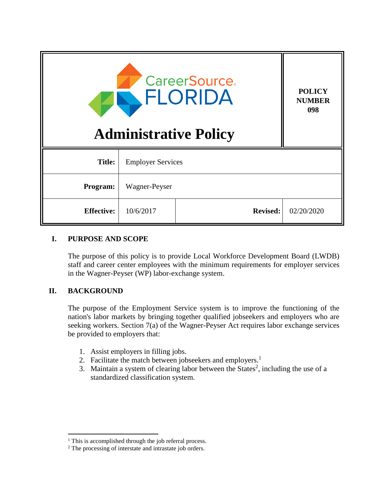| <b>CareerSource.</b><br>FLORIDA<br><b>Administrative Policy</b> |                          |                 | <b>POLICY</b><br><b>NUMBER</b><br>098 |
|-----------------------------------------------------------------|--------------------------|-----------------|---------------------------------------|
| <b>Title:</b>                                                   | <b>Employer Services</b> |                 |                                       |
| Program:                                                        | Wagner-Peyser            |                 |                                       |
| <b>Effective:</b>                                               | 10/6/2017                | <b>Revised:</b> | 02/20/2020                            |

# **I. PURPOSE AND SCOPE**

The purpose of this policy is to provide Local Workforce Development Board (LWDB) staff and career center employees with the minimum requirements for employer services in the Wagner-Peyser (WP) labor-exchange system.

# **II. BACKGROUND**

 $\overline{a}$ 

The purpose of the Employment Service system is to improve the functioning of the nation's labor markets by bringing together qualified jobseekers and employers who are seeking workers. Section 7(a) of the Wagner-Peyser Act requires labor exchange services be provided to employers that:

- 1. Assist employers in filling jobs.
- 2. Facilitate the match between jobseekers and employers.<sup>1</sup>
- 3. Maintain a system of clearing labor between the States<sup>2</sup>, including the use of a standardized classification system.

<sup>&</sup>lt;sup>1</sup> This is accomplished through the job referral process.

<sup>2</sup> The processing of interstate and intrastate job orders.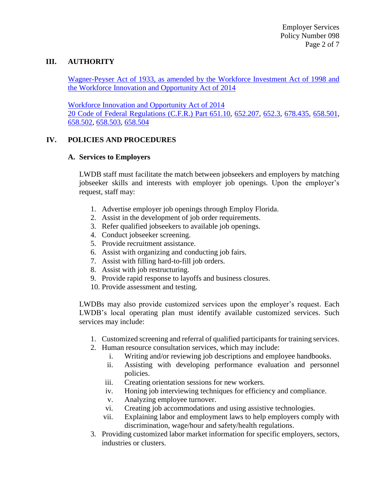# **III. AUTHORITY**

[Wagner-Peyser Act of 1933, as amended by the Workforce Investment Act of 1998 and](https://www.doleta.gov/programs/wagner-peyser-statute.cfm)  [the Workforce Innovation and Opportunity Act of 2014](https://www.doleta.gov/programs/wagner-peyser-statute.cfm)

[Workforce Innovation and Opportunity Act of 2014](https://www.gpo.gov/fdsys/pkg/PLAW-113publ128/pdf/PLAW-113publ128.pdf) [20 Code of Federal Regulations \(C.F.R.\)](http://www.ecfr.gov/cgi-bin/text-idx?SID=a57db84e2b52418ecd417e21f5e9c785&mc=true&tpl=/ecfrbrowse/Title20/20cfr651_main_02.tpl) Part 651.10, [652.207,](http://www.ecfr.gov/cgi-bin/text-idx?SID=a57db84e2b52418ecd417e21f5e9c785&mc=true&node=se20.3.652_1207&rgn=div8) [652.3,](http://www.ecfr.gov/cgi-bin/text-idx?SID=36d1e692cda892d4f9a462c78efd4214&mc=true&node=se20.3.652_13&rgn=div8) [678.435,](http://www.ecfr.gov/cgi-bin/text-idx?SID=6081557bba48929fe21ea9030d5a4814&mc=true&node=se20.4.678_1435&rgn=div8) [658.501,](http://www.ecfr.gov/cgi-bin/text-idx?SID=06b5e8fefa9897bb527bc614657f6613&mc=true&node=se20.4.658_1501&rgn=div8) [658.502,](https://www.ecfr.gov/cgi-bin/retrieveECFR?gp=1&SID=b731f6ab490a88bbc9ef7be4bd19c19c&ty=HTML&h=L&mc=true&r=SECTION&n=se20.4.658_1502) [658.503,](https://www.ecfr.gov/cgi-bin/retrieveECFR?gp=1&SID=b731f6ab490a88bbc9ef7be4bd19c19c&ty=HTML&h=L&mc=true&r=SECTION&n=se20.4.658_1503) [658.504](https://www.ecfr.gov/cgi-bin/retrieveECFR?gp=1&SID=707efbb6f72f9141e7eecf25ba1449d5&ty=HTML&h=L&mc=true&r=SECTION&n=se20.4.658_1504)

#### **IV. POLICIES AND PROCEDURES**

#### **A. Services to Employers**

LWDB staff must facilitate the match between jobseekers and employers by matching jobseeker skills and interests with employer job openings. Upon the employer's request, staff may:

- 1. Advertise employer job openings through Employ Florida.
- 2. Assist in the development of job order requirements.
- 3. Refer qualified jobseekers to available job openings.
- 4. Conduct jobseeker screening.
- 5. Provide recruitment assistance.
- 6. Assist with organizing and conducting job fairs.
- 7. Assist with filling hard-to-fill job orders.
- 8. Assist with job restructuring.
- 9. Provide rapid response to layoffs and business closures.
- 10. Provide assessment and testing.

LWDBs may also provide customized services upon the employer's request. Each LWDB's local operating plan must identify available customized services. Such services may include:

- 1. Customized screening and referral of qualified participants for training services.
- 2. Human resource consultation services, which may include:
	- i. Writing and/or reviewing job descriptions and employee handbooks.
	- ii. Assisting with developing performance evaluation and personnel policies.
	- iii. Creating orientation sessions for new workers.
	- iv. Honing job interviewing techniques for efficiency and compliance.
	- v. Analyzing employee turnover.
	- vi. Creating job accommodations and using assistive technologies.
	- vii. Explaining labor and employment laws to help employers comply with discrimination, wage/hour and safety/health regulations.
- 3. Providing customized labor market information for specific employers, sectors, industries or clusters.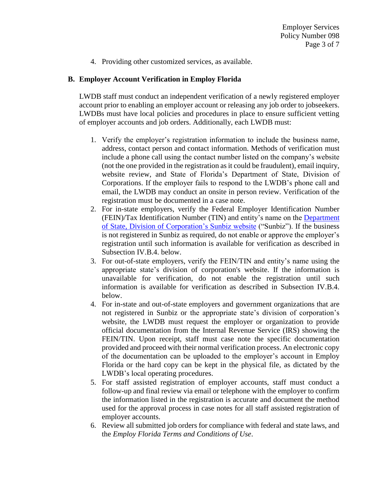4. Providing other customized services, as available.

#### **B. Employer Account Verification in Employ Florida**

LWDB staff must conduct an independent verification of a newly registered employer account prior to enabling an employer account or releasing any job order to jobseekers. LWDBs must have local policies and procedures in place to ensure sufficient vetting of employer accounts and job orders. Additionally, each LWDB must:

- 1. Verify the employer's registration information to include the business name, address, contact person and contact information. Methods of verification must include a phone call using the contact number listed on the company's website (not the one provided in the registration as it could be fraudulent), email inquiry, website review, and State of Florida's Department of State, Division of Corporations. If the employer fails to respond to the LWDB's phone call and email, the LWDB may conduct an onsite in person review. Verification of the registration must be documented in a case note.
- 2. For in-state employers, verify the Federal Employer Identification Number (FEIN)/Tax Identification Number (TIN) and entity's name on the [Department](http://search.sunbiz.org/Inquiry/CorporationSearch/ByName)  [of State, Division of Corporation's Sunbiz website](http://search.sunbiz.org/Inquiry/CorporationSearch/ByName) ("Sunbiz"). If the business is not registered in Sunbiz as required, do not enable or approve the employer's registration until such information is available for verification as described in Subsection IV.B.4. below.
- 3. For out-of-state employers, verify the FEIN/TIN and entity's name using the appropriate state's division of corporation's website. If the information is unavailable for verification, do not enable the registration until such information is available for verification as described in Subsection IV.B.4. below.
- 4. For in-state and out-of-state employers and government organizations that are not registered in Sunbiz or the appropriate state's division of corporation's website, the LWDB must request the employer or organization to provide official documentation from the Internal Revenue Service (IRS) showing the FEIN/TIN. Upon receipt, staff must case note the specific documentation provided and proceed with their normal verification process. An electronic copy of the documentation can be uploaded to the employer's account in Employ Florida or the hard copy can be kept in the physical file, as dictated by the LWDB's local operating procedures.
- 5. For staff assisted registration of employer accounts, staff must conduct a follow-up and final review via email or telephone with the employer to confirm the information listed in the registration is accurate and document the method used for the approval process in case notes for all staff assisted registration of employer accounts.
- 6. Review all submitted job orders for compliance with federal and state laws, and the *Employ Florida Terms and Conditions of Use*.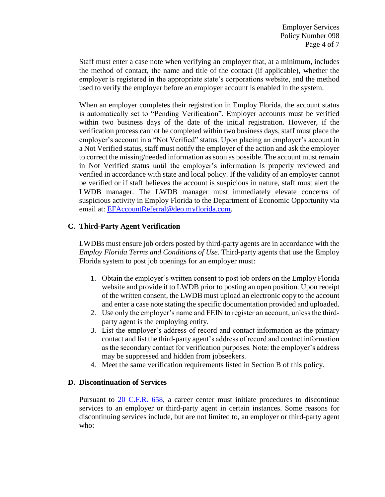Staff must enter a case note when verifying an employer that, at a minimum, includes the method of contact, the name and title of the contact (if applicable), whether the employer is registered in the appropriate state's corporations website, and the method used to verify the employer before an employer account is enabled in the system.

When an employer completes their registration in Employ Florida, the account status is automatically set to "Pending Verification". Employer accounts must be verified within two business days of the date of the initial registration. However, if the verification process cannot be completed within two business days, staff must place the employer's account in a "Not Verified" status. Upon placing an employer's account in a Not Verified status, staff must notify the employer of the action and ask the employer to correct the missing/needed information as soon as possible. The account must remain in Not Verified status until the employer's information is properly reviewed and verified in accordance with state and local policy. If the validity of an employer cannot be verified or if staff believes the account is suspicious in nature, staff must alert the LWDB manager. The LWDB manager must immediately elevate concerns of suspicious activity in Employ Florida to the Department of Economic Opportunity via email at: [EFAccountReferral@deo.myflorida.com.](mailto:EFAccountReferral@deo.myflorida.com)

# **C. Third-Party Agent Verification**

LWDBs must ensure job orders posted by third-party agents are in accordance with the *Employ Florida Terms and Conditions of Use*. Third-party agents that use the Employ Florida system to post job openings for an employer must:

- 1. Obtain the employer's written consent to post job orders on the Employ Florida website and provide it to LWDB prior to posting an open position. Upon receipt of the written consent, the LWDB must upload an electronic copy to the account and enter a case note stating the specific documentation provided and uploaded.
- 2. Use only the employer's name and FEIN to register an account, unless the thirdparty agent is the employing entity.
- 3. List the employer's address of record and contact information as the primary contact and list the third-party agent's address of record and contact information as the secondary contact for verification purposes. Note: the employer's address may be suppressed and hidden from jobseekers.
- 4. Meet the same verification requirements listed in Section B of this policy.

# **D. Discontinuation of Services**

Pursuant to [20 C.F.R.](https://www.ecfr.gov/cgi-bin/text-idx?SID=4176c47d2dc39876ccae000aecd71194&mc=true&node=sp20.4.658.f&rgn=div6) 658, a career center must initiate procedures to discontinue services to an employer or third-party agent in certain instances. Some reasons for discontinuing services include, but are not limited to, an employer or third-party agent who: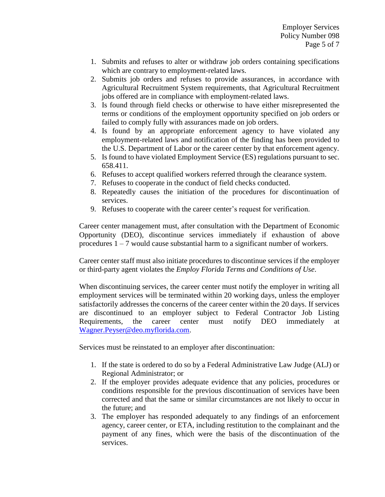- 1. Submits and refuses to alter or withdraw job orders containing specifications which are contrary to employment-related laws.
- 2. Submits job orders and refuses to provide assurances, in accordance with Agricultural Recruitment System requirements, that Agricultural Recruitment jobs offered are in compliance with employment-related laws.
- 3. Is found through field checks or otherwise to have either misrepresented the terms or conditions of the employment opportunity specified on job orders or failed to comply fully with assurances made on job orders.
- 4. Is found by an appropriate enforcement agency to have violated any employment-related laws and notification of the finding has been provided to the U.S. Department of Labor or the career center by that enforcement agency.
- 5. Is found to have violated Employment Service (ES) regulations pursuant to sec. 658.411.
- 6. Refuses to accept qualified workers referred through the clearance system.
- 7. Refuses to cooperate in the conduct of field checks conducted.
- 8. Repeatedly causes the initiation of the procedures for discontinuation of services.
- 9. Refuses to cooperate with the career center's request for verification.

Career center management must, after consultation with the Department of Economic Opportunity (DEO), discontinue services immediately if exhaustion of above procedures  $1 - 7$  would cause substantial harm to a significant number of workers.

Career center staff must also initiate procedures to discontinue services if the employer or third-party agent violates the *Employ Florida Terms and Conditions of Use*.

When discontinuing services, the career center must notify the employer in writing all employment services will be terminated within 20 working days, unless the employer satisfactorily addresses the concerns of the career center within the 20 days. If services are discontinued to an employer subject to Federal Contractor Job Listing Requirements, the career center must notify DEO immediately at [Wagner.Peyser@deo.myflorida.com.](mailto:Wagner.Peyser@deo.myflorida.com)

Services must be reinstated to an employer after discontinuation:

- 1. If the state is ordered to do so by a Federal Administrative Law Judge (ALJ) or Regional Administrator; or
- 2. If the employer provides adequate evidence that any policies, procedures or conditions responsible for the previous discontinuation of services have been corrected and that the same or similar circumstances are not likely to occur in the future; and
- 3. The employer has responded adequately to any findings of an enforcement agency, career center, or ETA, including restitution to the complainant and the payment of any fines, which were the basis of the discontinuation of the services.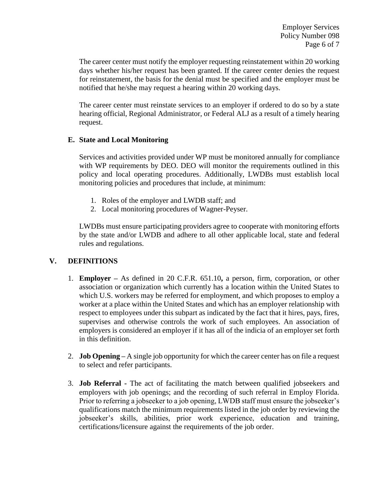The career center must notify the employer requesting reinstatement within 20 working days whether his/her request has been granted. If the career center denies the request for reinstatement, the basis for the denial must be specified and the employer must be notified that he/she may request a hearing within 20 working days.

The career center must reinstate services to an employer if ordered to do so by a state hearing official, Regional Administrator, or Federal ALJ as a result of a timely hearing request.

# **E. State and Local Monitoring**

Services and activities provided under WP must be monitored annually for compliance with WP requirements by DEO. DEO will monitor the requirements outlined in this policy and local operating procedures. Additionally, LWDBs must establish local monitoring policies and procedures that include, at minimum:

- 1. Roles of the employer and LWDB staff; and
- 2. Local monitoring procedures of Wagner-Peyser.

LWDBs must ensure participating providers agree to cooperate with monitoring efforts by the state and/or LWDB and adhere to all other applicable local, state and federal rules and regulations.

# **V. DEFINITIONS**

- 1. **Employer –** As defined in 20 C.F.R. 651.10**,** a person, firm, corporation, or other association or organization which currently has a location within the United States to which U.S. workers may be referred for employment, and which proposes to employ a worker at a place within the United States and which has an employer relationship with respect to employees under this subpart as indicated by the fact that it hires, pays, fires, supervises and otherwise controls the work of such employees. An association of employers is considered an employer if it has all of the indicia of an employer set forth in this definition.
- 2. **Job Opening –** A single job opportunity for which the career center has on file a request to select and refer participants.
- 3. **Job Referral -** The act of facilitating the match between qualified jobseekers and employers with job openings; and the recording of such referral in Employ Florida. Prior to referring a jobseeker to a job opening, LWDB staff must ensure the jobseeker's qualifications match the minimum requirements listed in the job order by reviewing the jobseeker's skills, abilities, prior work experience, education and training, certifications/licensure against the requirements of the job order.